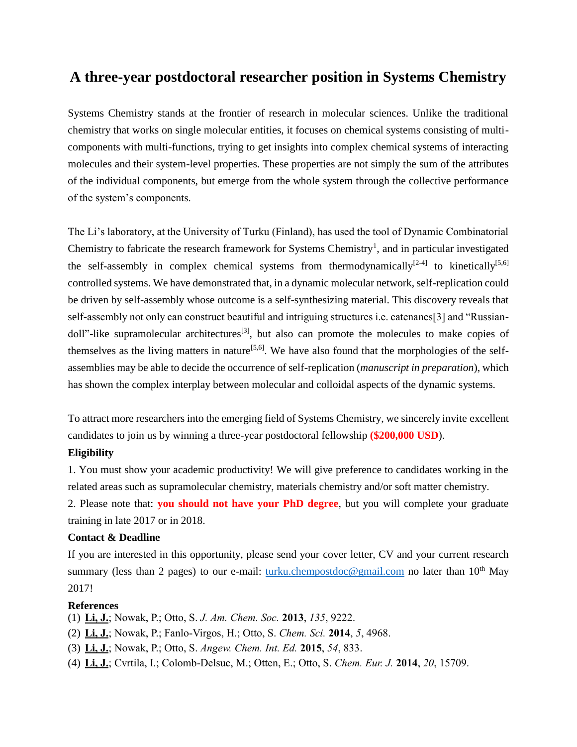## **A three-year postdoctoral researcher position in Systems Chemistry**

Systems Chemistry stands at the frontier of research in molecular sciences. Unlike the traditional chemistry that works on single molecular entities, it focuses on chemical systems consisting of multicomponents with multi-functions, trying to get insights into complex chemical systems of interacting molecules and their system-level properties. These properties are not simply the sum of the attributes of the individual components, but emerge from the whole system through the collective performance of the system's components.

The Li's laboratory, at the University of Turku (Finland), has used the tool of Dynamic Combinatorial Chemistry to fabricate the research framework for Systems Chemistry<sup>1</sup>, and in particular investigated the self-assembly in complex chemical systems from thermodynamically<sup>[2-4]</sup> to kinetically<sup>[5,6]</sup> controlled systems. We have demonstrated that, in a dynamic molecular network, self-replication could be driven by self-assembly whose outcome is a self-synthesizing material. This discovery reveals that self-assembly not only can construct beautiful and intriguing structures i.e. catenanes[3] and "Russiandoll"-like supramolecular architectures<sup>[3]</sup>, but also can promote the molecules to make copies of themselves as the living matters in nature<sup>[5,6]</sup>. We have also found that the morphologies of the selfassemblies may be able to decide the occurrence of self-replication (*manuscript in preparation*), which has shown the complex interplay between molecular and colloidal aspects of the dynamic systems.

To attract more researchers into the emerging field of Systems Chemistry, we sincerely invite excellent candidates to join us by winning a three-year postdoctoral fellowship **(\$200,000 USD**).

## **Eligibility**

1. You must show your academic productivity! We will give preference to candidates working in the related areas such as supramolecular chemistry, materials chemistry and/or soft matter chemistry.

2. Please note that: **you should not have your PhD degree**, but you will complete your graduate training in late 2017 or in 2018.

## **Contact & Deadline**

If you are interested in this opportunity, please send your cover letter, CV and your current research summary (less than 2 pages) to our e-mail: [turku.chempostdoc@gmail.com](mailto:turku.chempostdoc@gmail.com) no later than  $10^{th}$  May 2017!

## **References**

(1) **Li, J.**; Nowak, P.; Otto, S. *J. Am. Chem. Soc.* **2013**, *135*, 9222.

- (2) **Li, J.**; Nowak, P.; Fanlo-Virgos, H.; Otto, S. *Chem. Sci.* **2014**, *5*, 4968.
- (3) **Li, J.**; Nowak, P.; Otto, S. *Angew. Chem. Int. Ed.* **2015**, *54*, 833.
- (4) **Li, J.**; Cvrtila, I.; Colomb-Delsuc, M.; Otten, E.; Otto, S. *Chem. Eur. J.* **2014**, *20*, 15709.